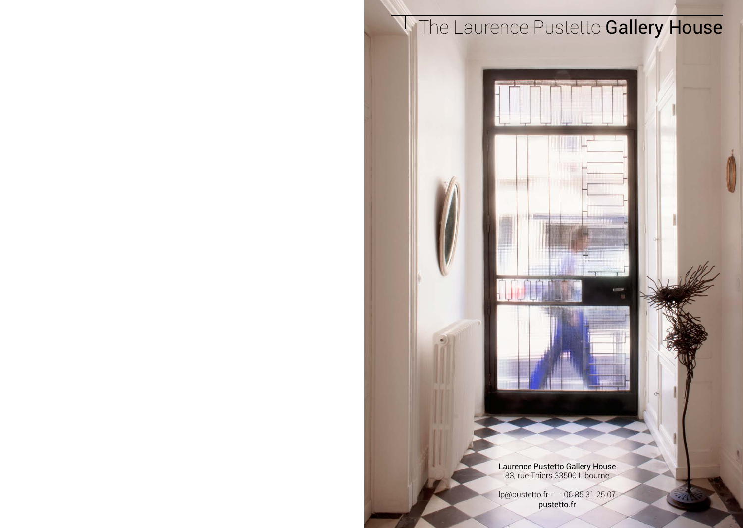# **The Laurence Pustetto Gallery House**

Laurence Pustetto Gallery House 83, rue Thiers 33500 Libourne

 $lp@pustetto.fr$   $-$  06 85 31 25 07 pustetto.fr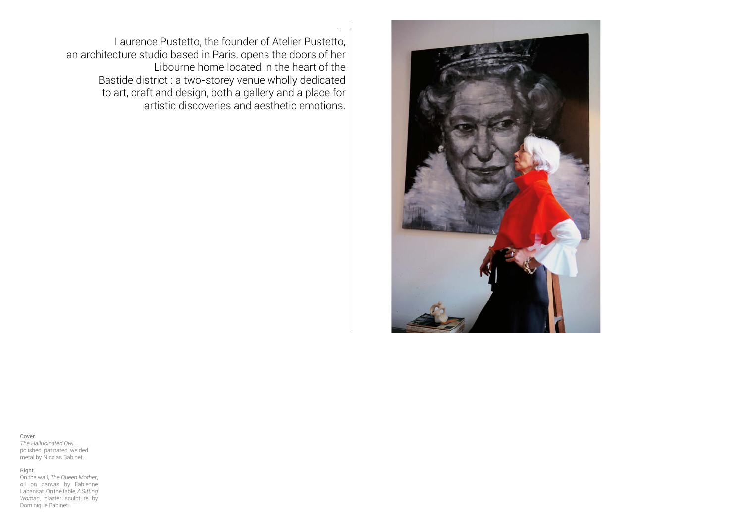

Laurence Pustetto, the founder of Atelier Pustetto, an architecture studio based in Paris, opens the doors of her Libourne home located in the heart of the Bastide district : a two-storey venue wholly dedicated to art, craft and design, both a gallery and a place for artistic discoveries and aesthetic emotions.

Cover. *The Hallucinated Owl*, polished, patinated, welded metal by Nicolas Babinet.

### Right.

On the wall, *The Queen Mother*, oil on canvas by Fabienne Labansat. On the table, *A Sitting Woman*, plaster sculpture by Dominique Babinet.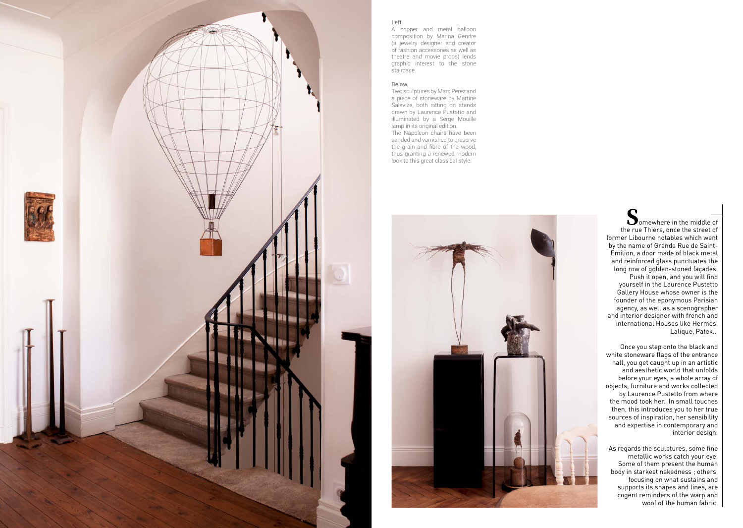

## Left.

A copper and metal balloon composition by Marina Gendre (a jewelry designer and creator of fashion accessories as well as theatre and movie props) lends graphic interest to the stone staircase.

#### Below.

Two sculptures by Marc Perez and a piece of stoneware by Martine Salavize, both sitting on stands drawn by Laurence Pustetto and illuminated by a Serge Mouille lamp in its original edition. The Napoleon chairs have been sanded and varnished to preserve the grain and fibre of the wood, thus granting a renewed modern look to this great classical style.



∩  $\sum$  omewhere in the middle of the rue Thiers, once the street of former Libourne notables which went by the name of Grande Rue de Saint-Emilion, a door made of black metal and reinforced glass punctuates the long row of golden-stoned façades. Push it open, and you will find yourself in the Laurence Pustetto Gallery House whose owner is the founder of the eponymous Parisian agency, as well as a scenographer and interior designer with french and international Houses like Hermès, Lalique, Patek…

Once you step onto the black and white stoneware flags of the entrance hall, you get caught up in an artistic and aesthetic world that unfolds before your eyes, a whole array of objects, furniture and works collected by Laurence Pustetto from where the mood took her. In small touches then, this introduces you to her true sources of inspiration, her sensibility and expertise in contemporary and interior design.

As regards the sculptures, some fine metallic works catch your eye. Some of them present the human body in starkest nakedness ; others, focusing on what sustains and supports its shapes and lines, are cogent reminders of the warp and woof of the human fabric.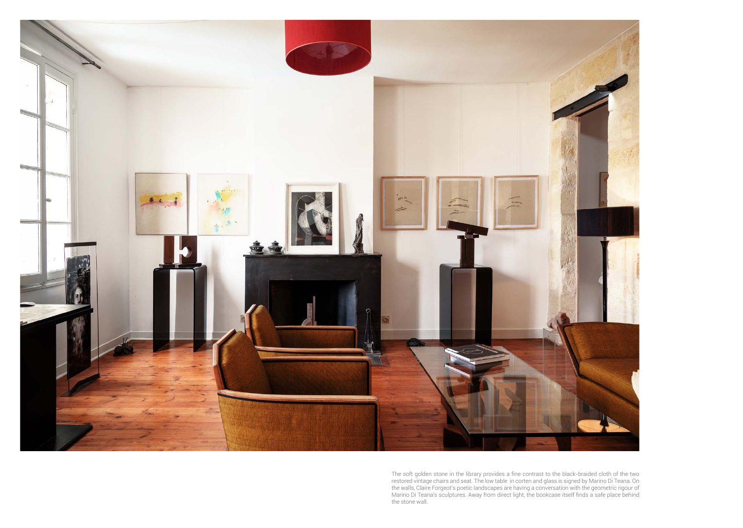

The soft golden stone in the library provides a fine contrast to the black-braided cloth of the two<br>restored vintage chairs and seat. The low table in corten and glass is signed by Marino Di Teana. On<br>the walls, Claire For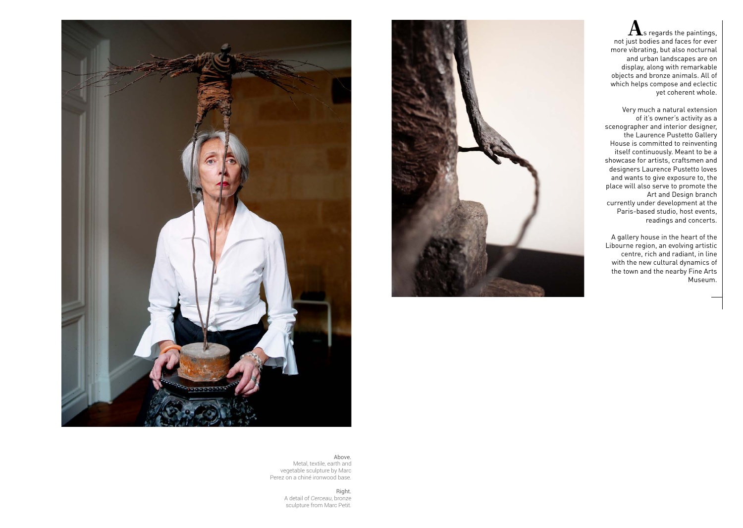



 $\mathbf A$ s regards the paintings. not just bodies and faces for ever more vibrating, but also nocturnal and urban landscapes are on display, along with remarkable objects and bronze animals. All of which helps compose and eclectic yet coherent whole.

Very much a natural extension of it's owner's activity as a scenographer and interior designer, the Laurence Pustetto Gallery House is committed to reinventing itself continuously. Meant to be a showcase for artists, craftsmen and designers Laurence Pustetto loves and wants to give exposure to, the place will also serve to promote the Art and Design branch currently under development at the Paris-based studio, host events, readings and concerts.

A gallery house in the heart of the Libourne region, an evolving artistic centre, rich and radiant, in line with the new cultural dynamics of the town and the nearby Fine Arts Museum.

Above.

Metal, textile, earth and vegetable sculpture by Marc Perez on a chiné ironwood base.

> Right. A detail of *Cerceau*, bronze sculpture from Marc Petit.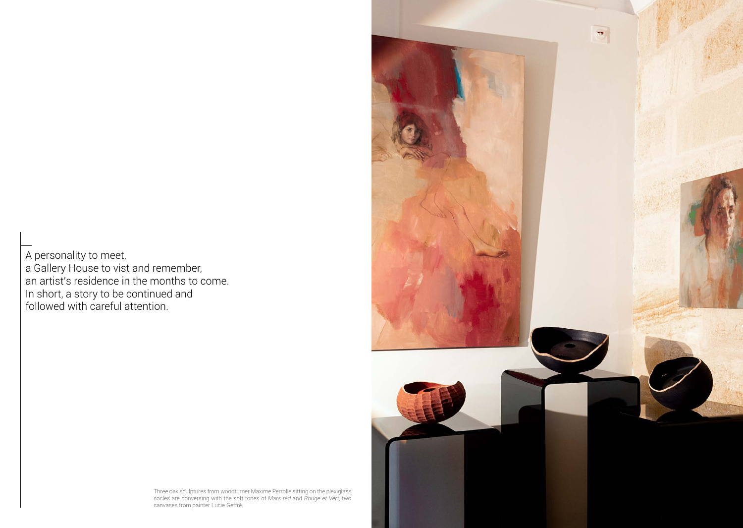A personality to meet, a Gallery House to vist and remember, an artist's residence in the months to come. In short, a story to be continued and followed with careful attention.